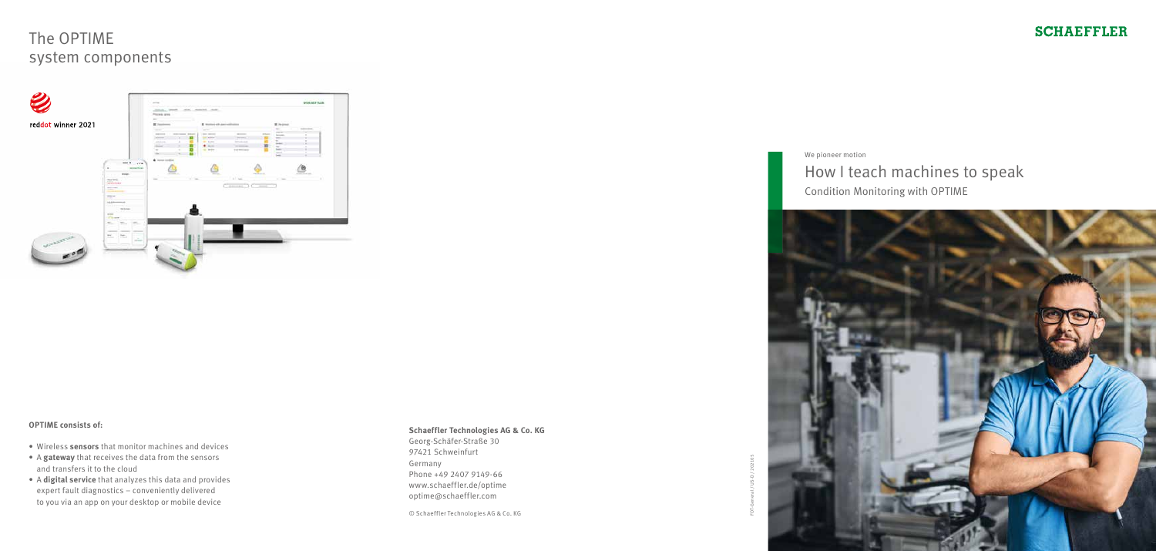#### **Schaeffler Technologies AG & Co. KG**

Georg-Schäfer-Straße 30 97421 Schweinfurt Germany Phone +49 2407 9149-66 www.schaeffler.de/optime optime@schaeffler.com

© Schaeffler Technologies AG & Co. KG

# The OPTIME system components





### **SCHAEFFLER**

#### **OPTIME consists of:**

- Wireless **sensors** that monitor machines and devices
- A **gateway** that receives the data from the sensors and transfers it to the cloud
- A **digital service** that analyzes this data and provides expert fault diagnostics – conveniently delivered to you via an app on your desktop or mobile device

We pioneer motion

### How I teach machines to speak Condition Monitoring with OPTIME